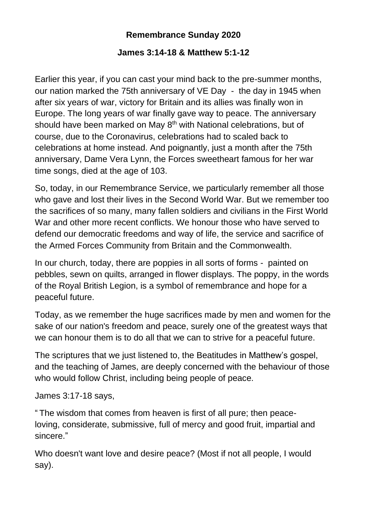## **Remembrance Sunday 2020**

## **James 3:14-18 & Matthew 5:1-12**

Earlier this year, if you can cast your mind back to the pre-summer months, our nation marked the 75th anniversary of VE Day - the day in 1945 when after six years of war, victory for Britain and its allies was finally won in Europe. The long years of war finally gave way to peace. The anniversary should have been marked on May 8<sup>th</sup> with National celebrations, but of course, due to the Coronavirus, celebrations had to scaled back to celebrations at home instead. And poignantly, just a month after the 75th anniversary, Dame Vera Lynn, the Forces sweetheart famous for her war time songs, died at the age of 103.

So, today, in our Remembrance Service, we particularly remember all those who gave and lost their lives in the Second World War. But we remember too the sacrifices of so many, many fallen soldiers and civilians in the First World War and other more recent conflicts. We honour those who have served to defend our democratic freedoms and way of life, the service and sacrifice of the Armed Forces Community from Britain and the Commonwealth.

In our church, today, there are poppies in all sorts of forms - painted on pebbles, sewn on quilts, arranged in flower displays. The poppy, in the words of the Royal British Legion, is a symbol of remembrance and hope for a peaceful future.

Today, as we remember the huge sacrifices made by men and women for the sake of our nation's freedom and peace, surely one of the greatest ways that we can honour them is to do all that we can to strive for a peaceful future.

The scriptures that we just listened to, the Beatitudes in Matthew's gospel, and the teaching of James, are deeply concerned with the behaviour of those who would follow Christ, including being people of peace.

James 3:17-18 says,

" The wisdom that comes from heaven is first of all pure; then peaceloving, considerate, submissive, full of mercy and good fruit, impartial and sincere."

Who doesn't want love and desire peace? (Most if not all people, I would say).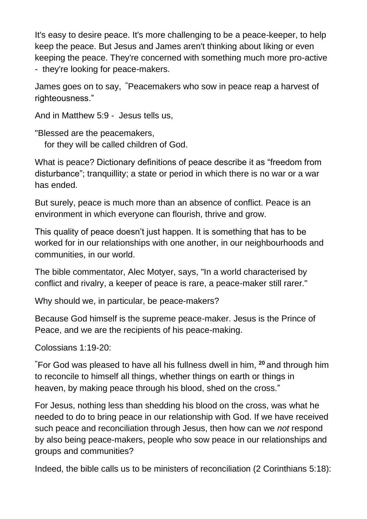It's easy to desire peace. It's more challenging to be a peace-keeper, to help keep the peace. But Jesus and James aren't thinking about liking or even keeping the peace. They're concerned with something much more pro-active - they're looking for peace-makers.

James goes on to say, **"**Peacemakers who sow in peace reap a harvest of righteousness."

And in Matthew 5:9 - Jesus tells us,

"Blessed are the peacemakers, for they will be called children of God.

What is peace? Dictionary definitions of peace describe it as "freedom from disturbance"; tranquillity; a state or period in which there is no war or a war has ended.

But surely, peace is much more than an absence of conflict. Peace is an environment in which everyone can flourish, thrive and grow.

This quality of peace doesn't just happen. It is something that has to be worked for in our relationships with one another, in our neighbourhoods and communities, in our world.

The bible commentator, Alec Motyer, says, "In a world characterised by conflict and rivalry, a keeper of peace is rare, a peace-maker still rarer."

Why should we, in particular, be peace-makers?

Because God himself is the supreme peace-maker. Jesus is the Prince of Peace, and we are the recipients of his peace-making.

Colossians 1:19-20:

**"**For God was pleased to have all his fullness dwell in him, **<sup>20</sup>** and through him to reconcile to himself all things, whether things on earth or things in heaven, by making peace through his blood, shed on the cross."

For Jesus, nothing less than shedding his blood on the cross, was what he needed to do to bring peace in our relationship with God. If we have received such peace and reconciliation through Jesus, then how can we *not* respond by also being peace-makers, people who sow peace in our relationships and groups and communities?

Indeed, the bible calls us to be ministers of reconciliation (2 Corinthians 5:18):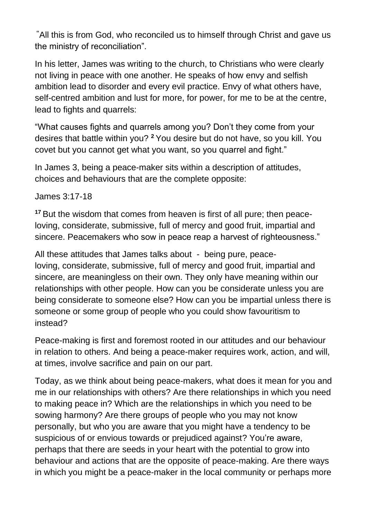**"**All this is from God, who reconciled us to himself through Christ and gave us the ministry of reconciliation".

In his letter, James was writing to the church, to Christians who were clearly not living in peace with one another. He speaks of how envy and selfish ambition lead to disorder and every evil practice. Envy of what others have, self-centred ambition and lust for more, for power, for me to be at the centre, lead to fights and quarrels:

"What causes fights and quarrels among you? Don't they come from your desires that battle within you? **<sup>2</sup>** You desire but do not have, so you kill. You covet but you cannot get what you want, so you quarrel and fight."

In James 3, being a peace-maker sits within a description of attitudes, choices and behaviours that are the complete opposite:

James 3:17-18

**<sup>17</sup>** But the wisdom that comes from heaven is first of all pure; then peaceloving, considerate, submissive, full of mercy and good fruit, impartial and sincere. Peacemakers who sow in peace reap a harvest of righteousness."

All these attitudes that James talks about - being pure, peaceloving, considerate, submissive, full of mercy and good fruit, impartial and sincere, are meaningless on their own. They only have meaning within our relationships with other people. How can you be considerate unless you are being considerate to someone else? How can you be impartial unless there is someone or some group of people who you could show favouritism to instead?

Peace-making is first and foremost rooted in our attitudes and our behaviour in relation to others. And being a peace-maker requires work, action, and will, at times, involve sacrifice and pain on our part.

Today, as we think about being peace-makers, what does it mean for you and me in our relationships with others? Are there relationships in which you need to making peace in? Which are the relationships in which you need to be sowing harmony? Are there groups of people who you may not know personally, but who you are aware that you might have a tendency to be suspicious of or envious towards or prejudiced against? You're aware, perhaps that there are seeds in your heart with the potential to grow into behaviour and actions that are the opposite of peace-making. Are there ways in which you might be a peace-maker in the local community or perhaps more